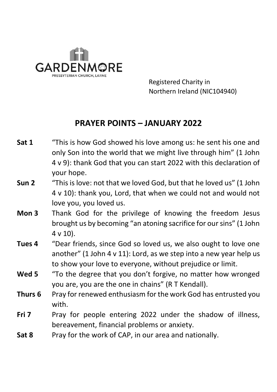

 Registered Charity in Northern Ireland (NIC104940)

## **PRAYER POINTS – JANUARY 2022**

- **Sat 1** "This is how God showed his love among us: he sent his one and only Son into the world that we might live through him" (1 John 4 v 9): thank God that you can start 2022 with this declaration of your hope.
- **Sun 2** "This is love: not that we loved God, but that he loved us" (1 John 4 v 10): thank you, Lord, that when we could not and would not love you, you loved us.
- **Mon 3** Thank God for the privilege of knowing the freedom Jesus brought us by becoming "an atoning sacrifice for our sins" (1 John 4 v 10).
- **Tues 4** "Dear friends, since God so loved us, we also ought to love one another" (1 John 4 v 11): Lord, as we step into a new year help us to show your love to everyone, without prejudice or limit.
- **Wed 5** "To the degree that you don't forgive, no matter how wronged you are, you are the one in chains" (R T Kendall).
- **Thurs 6** Pray for renewed enthusiasm for the work God has entrusted you with.
- **Fri 7** Pray for people entering 2022 under the shadow of illness, bereavement, financial problems or anxiety.
- **Sat 8** Pray for the work of CAP, in our area and nationally.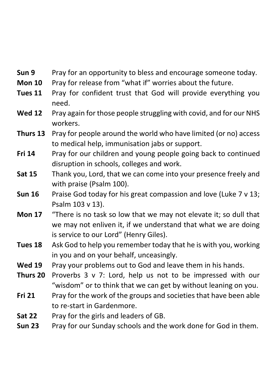- **Sun 9** Pray for an opportunity to bless and encourage someone today.
- **Mon 10** Pray for release from "what if" worries about the future.
- **Tues 11** Pray for confident trust that God will provide everything you need.
- **Wed 12** Pray again for those people struggling with covid, and for our NHS workers.
- **Thurs 13** Pray for people around the world who have limited (or no) access to medical help, immunisation jabs or support.
- **Fri 14** Pray for our children and young people going back to continued disruption in schools, colleges and work.
- **Sat 15** Thank you, Lord, that we can come into your presence freely and with praise (Psalm 100).
- **Sun 16** Praise God today for his great compassion and love (Luke 7 v 13; Psalm 103 v 13).
- **Mon 17** "There is no task so low that we may not elevate it; so dull that we may not enliven it, if we understand that what we are doing is service to our Lord" (Henry Giles).
- **Tues 18** Ask God to help you remember today that he is with you, working in you and on your behalf, unceasingly.
- **Wed 19** Pray your problems out to God and leave them in his hands.
- **Thurs 20** Proverbs 3 v 7: Lord, help us not to be impressed with our "wisdom" or to think that we can get by without leaning on you.
- **Fri 21** Pray for the work of the groups and societies that have been able to re-start in Gardenmore.
- **Sat 22** Pray for the girls and leaders of GB.
- **Sun 23** Pray for our Sunday schools and the work done for God in them.